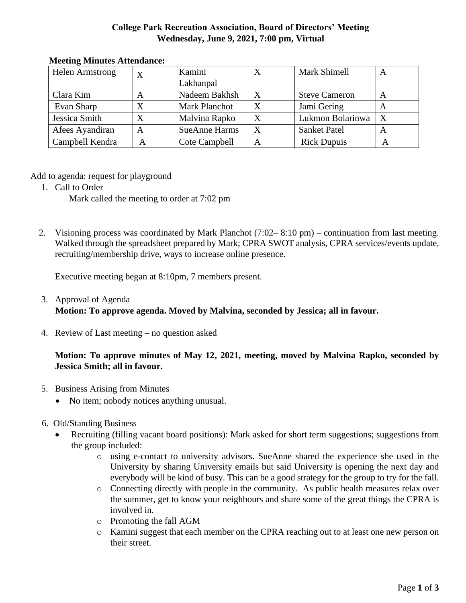## **College Park Recreation Association, Board of Directors' Meeting Wednesday, June 9, 2021, 7:00 pm, Virtual**

| <b>Helen Armstrong</b> | X | Kamini               | Χ | Mark Shimell         | А                |
|------------------------|---|----------------------|---|----------------------|------------------|
|                        |   | Lakhanpal            |   |                      |                  |
| Clara Kim              | A | Nadeem Bakhsh        | X | <b>Steve Cameron</b> | A                |
| Evan Sharp             | Χ | <b>Mark Planchot</b> | X | Jami Gering          | А                |
| Jessica Smith          | X | Malvina Rapko        | X | Lukmon Bolarinwa     | $\boldsymbol{X}$ |
| Afees Ayandiran        | A | <b>SueAnne Harms</b> | X | <b>Sanket Patel</b>  | A                |
| Campbell Kendra        | А | Cote Campbell        | Α | <b>Rick Dupuis</b>   | A                |

#### **Meeting Minutes Attendance:**

## Add to agenda: request for playground

1. Call to Order

Mark called the meeting to order at 7:02 pm

2. Visioning process was coordinated by Mark Planchot (7:02– 8:10 pm) – continuation from last meeting. Walked through the spreadsheet prepared by Mark; CPRA SWOT analysis, CPRA services/events update, recruiting/membership drive, ways to increase online presence.

Executive meeting began at 8:10pm, 7 members present.

- 3. Approval of Agenda **Motion: To approve agenda. Moved by Malvina, seconded by Jessica; all in favour.**
- 4. Review of Last meeting no question asked

# **Motion: To approve minutes of May 12, 2021, meeting, moved by Malvina Rapko, seconded by Jessica Smith; all in favour.**

- 5. Business Arising from Minutes
	- No item; nobody notices anything unusual.
- 6. Old/Standing Business
	- Recruiting (filling vacant board positions): Mark asked for short term suggestions; suggestions from the group included:
		- o using e-contact to university advisors. SueAnne shared the experience she used in the University by sharing University emails but said University is opening the next day and everybody will be kind of busy. This can be a good strategy for the group to try for the fall.
		- o Connecting directly with people in the community. As public health measures relax over the summer, get to know your neighbours and share some of the great things the CPRA is involved in.
		- o Promoting the fall AGM
		- o Kamini suggest that each member on the CPRA reaching out to at least one new person on their street.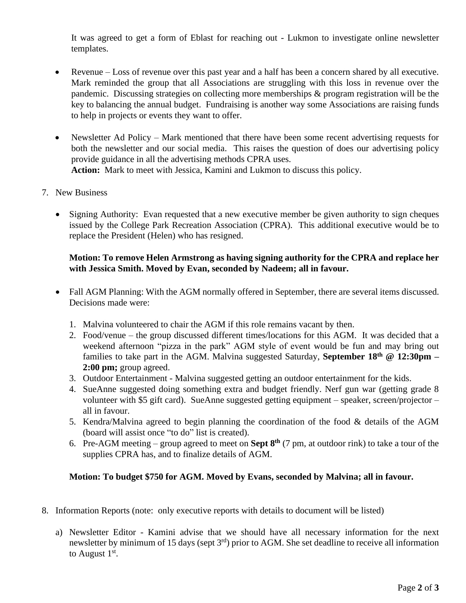It was agreed to get a form of Eblast for reaching out - Lukmon to investigate online newsletter templates.

- Revenue Loss of revenue over this past year and a half has been a concern shared by all executive. Mark reminded the group that all Associations are struggling with this loss in revenue over the pandemic. Discussing strategies on collecting more memberships & program registration will be the key to balancing the annual budget. Fundraising is another way some Associations are raising funds to help in projects or events they want to offer.
- Newsletter Ad Policy Mark mentioned that there have been some recent advertising requests for both the newsletter and our social media. This raises the question of does our advertising policy provide guidance in all the advertising methods CPRA uses. **Action:** Mark to meet with Jessica, Kamini and Lukmon to discuss this policy.
- 7. New Business
	- Signing Authority: Evan requested that a new executive member be given authority to sign cheques issued by the College Park Recreation Association (CPRA). This additional executive would be to replace the President (Helen) who has resigned.

## **Motion: To remove Helen Armstrong as having signing authority for the CPRA and replace her with Jessica Smith. Moved by Evan, seconded by Nadeem; all in favour.**

- Fall AGM Planning: With the AGM normally offered in September, there are several items discussed. Decisions made were:
	- 1. Malvina volunteered to chair the AGM if this role remains vacant by then.
	- 2. Food/venue the group discussed different times/locations for this AGM. It was decided that a weekend afternoon "pizza in the park" AGM style of event would be fun and may bring out families to take part in the AGM. Malvina suggested Saturday, **September 18th @ 12:30pm – 2:00 pm;** group agreed.
	- 3. Outdoor Entertainment Malvina suggested getting an outdoor entertainment for the kids.
	- 4. SueAnne suggested doing something extra and budget friendly. Nerf gun war (getting grade 8 volunteer with \$5 gift card). SueAnne suggested getting equipment – speaker, screen/projector – all in favour.
	- 5. Kendra/Malvina agreed to begin planning the coordination of the food & details of the AGM (board will assist once "to do" list is created).
	- 6. Pre-AGM meeting group agreed to meet on **Sept 8th** (7 pm, at outdoor rink) to take a tour of the supplies CPRA has, and to finalize details of AGM.

#### **Motion: To budget \$750 for AGM. Moved by Evans, seconded by Malvina; all in favour.**

- 8. Information Reports (note: only executive reports with details to document will be listed)
	- a) Newsletter Editor Kamini advise that we should have all necessary information for the next newsletter by minimum of 15 days (sept 3<sup>rd</sup>) prior to AGM. She set deadline to receive all information to August  $1<sup>st</sup>$ .